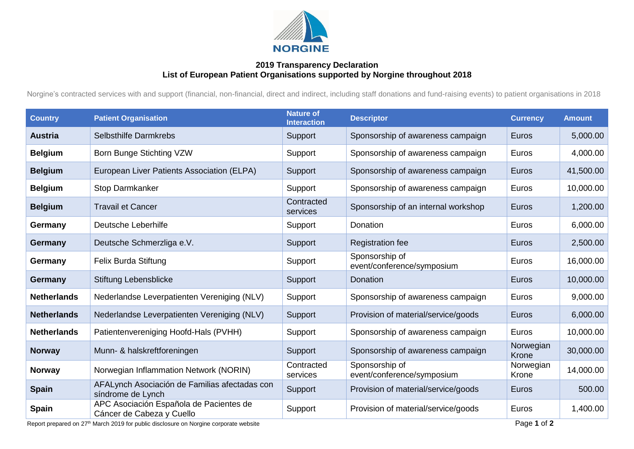

## **2019 Transparency Declaration List of European Patient Organisations supported by Norgine throughout 2018**

Norgine's contracted services with and support (financial, non-financial, direct and indirect, including staff donations and fund-raising events) to patient organisations in 2018

| <b>Country</b>     | <b>Patient Organisation</b>                                          | <b>Nature of</b><br><b>Interaction</b> | <b>Descriptor</b>                            | <b>Currency</b>    | <b>Amount</b> |
|--------------------|----------------------------------------------------------------------|----------------------------------------|----------------------------------------------|--------------------|---------------|
| <b>Austria</b>     | Selbsthilfe Darmkrebs                                                | Support                                | Sponsorship of awareness campaign            | Euros              | 5,000.00      |
| <b>Belgium</b>     | Born Bunge Stichting VZW                                             | Support                                | Sponsorship of awareness campaign            | Euros              | 4,000.00      |
| <b>Belgium</b>     | European Liver Patients Association (ELPA)                           | Support                                | Sponsorship of awareness campaign            | Euros              | 41,500.00     |
| <b>Belgium</b>     | Stop Darmkanker                                                      | Support                                | Sponsorship of awareness campaign            | Euros              | 10,000.00     |
| <b>Belgium</b>     | <b>Travail et Cancer</b>                                             | Contracted<br>services                 | Sponsorship of an internal workshop          | Euros              | 1,200.00      |
| Germany            | Deutsche Leberhilfe                                                  | Support                                | Donation                                     | Euros              | 6,000.00      |
| Germany            | Deutsche Schmerzliga e.V.                                            | Support                                | <b>Registration fee</b>                      | Euros              | 2,500.00      |
| Germany            | Felix Burda Stiftung                                                 | Support                                | Sponsorship of<br>event/conference/symposium | Euros              | 16,000.00     |
| Germany            | Stiftung Lebensblicke                                                | Support                                | Donation                                     | Euros              | 10,000.00     |
| <b>Netherlands</b> | Nederlandse Leverpatienten Vereniging (NLV)                          | Support                                | Sponsorship of awareness campaign            | Euros              | 9,000.00      |
| <b>Netherlands</b> | Nederlandse Leverpatienten Vereniging (NLV)                          | Support                                | Provision of material/service/goods          | Euros              | 6,000.00      |
| <b>Netherlands</b> | Patientenvereniging Hoofd-Hals (PVHH)                                | Support                                | Sponsorship of awareness campaign            | Euros              | 10,000.00     |
| <b>Norway</b>      | Munn- & halskreftforeningen                                          | Support                                | Sponsorship of awareness campaign            | Norwegian<br>Krone | 30,000.00     |
| <b>Norway</b>      | Norwegian Inflammation Network (NORIN)                               | Contracted<br>services                 | Sponsorship of<br>event/conference/symposium | Norwegian<br>Krone | 14,000.00     |
| <b>Spain</b>       | AFALynch Asociación de Familias afectadas con<br>síndrome de Lynch   | Support                                | Provision of material/service/goods          | Euros              | 500.00        |
| <b>Spain</b>       | APC Asociación Española de Pacientes de<br>Cáncer de Cabeza y Cuello | Support                                | Provision of material/service/goods          | Euros              | 1,400.00      |

Report prepared on 27<sup>th</sup> March 2019 for public disclosure on Norgine corporate website Page 1 of 2